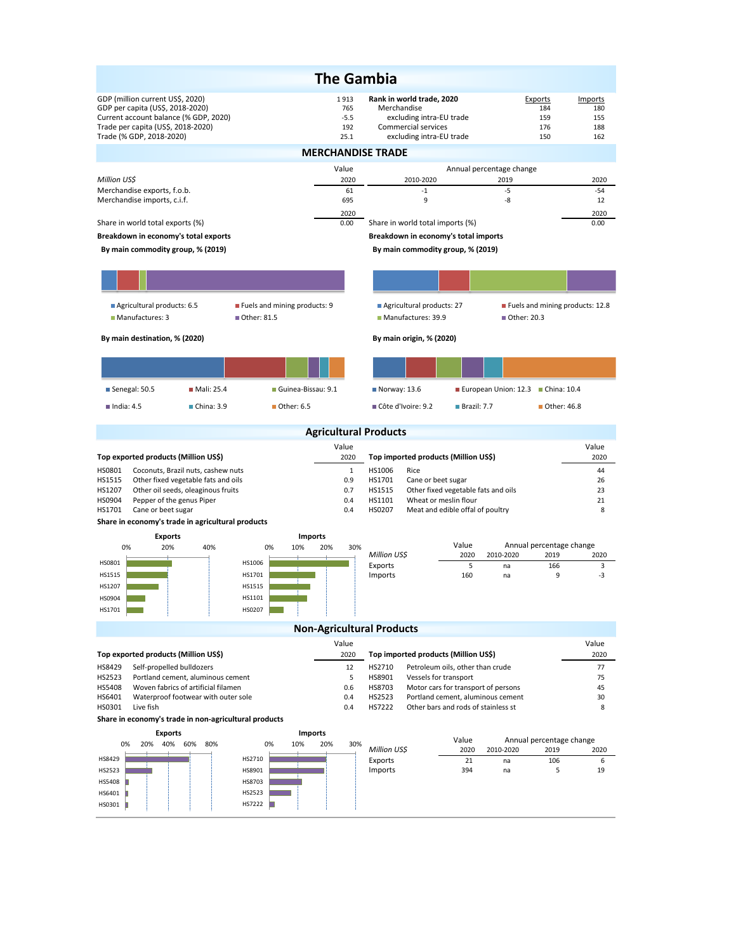|                                                                                                                                                                                 |                                    | <b>The Gambia</b>                    |                                                                                                                         |                                                                          |                          |                                     |                                     |
|---------------------------------------------------------------------------------------------------------------------------------------------------------------------------------|------------------------------------|--------------------------------------|-------------------------------------------------------------------------------------------------------------------------|--------------------------------------------------------------------------|--------------------------|-------------------------------------|-------------------------------------|
| GDP (million current US\$, 2020)<br>GDP per capita (US\$, 2018-2020)<br>Current account balance (% GDP, 2020)<br>Trade per capita (US\$, 2018-2020)<br>Trade (% GDP, 2018-2020) |                                    | 1913<br>765<br>$-5.5$<br>192<br>25.1 | Rank in world trade, 2020<br>Merchandise<br>excluding intra-EU trade<br>Commercial services<br>excluding intra-EU trade |                                                                          |                          | Exports<br>184<br>159<br>176<br>150 | Imports<br>180<br>155<br>188<br>162 |
|                                                                                                                                                                                 |                                    |                                      | <b>MERCHANDISE TRADE</b>                                                                                                |                                                                          |                          |                                     |                                     |
|                                                                                                                                                                                 |                                    | Value                                |                                                                                                                         |                                                                          | Annual percentage change |                                     |                                     |
| Million US\$<br>Merchandise exports, f.o.b.                                                                                                                                     |                                    | 2020<br>61                           | 2010-2020<br>$-1$                                                                                                       |                                                                          | 2019<br>$-5$             |                                     | 2020<br>$-54$                       |
| Merchandise imports, c.i.f.                                                                                                                                                     |                                    | 695<br>2020                          | 9                                                                                                                       |                                                                          | -8                       |                                     | 12<br>2020                          |
| Share in world total exports (%)                                                                                                                                                |                                    | 0.00                                 | Share in world total imports (%)                                                                                        |                                                                          |                          |                                     | 0.00                                |
| Breakdown in economy's total exports<br>By main commodity group, % (2019)                                                                                                       |                                    |                                      | Breakdown in economy's total imports<br>By main commodity group, % (2019)                                               |                                                                          |                          |                                     |                                     |
|                                                                                                                                                                                 |                                    |                                      |                                                                                                                         |                                                                          |                          |                                     |                                     |
|                                                                                                                                                                                 |                                    |                                      |                                                                                                                         |                                                                          |                          |                                     |                                     |
| Agricultural products: 6.5                                                                                                                                                      | Fuels and mining products: 9       |                                      | Agricultural products: 27                                                                                               |                                                                          |                          |                                     | Fuels and mining products: 12.8     |
| Manufactures: 3                                                                                                                                                                 | Other: 81.5                        |                                      | Manufactures: 39.9                                                                                                      |                                                                          | ■ Other: 20.3            |                                     |                                     |
| By main destination, % (2020)                                                                                                                                                   |                                    |                                      | By main origin, % (2020)                                                                                                |                                                                          |                          |                                     |                                     |
|                                                                                                                                                                                 |                                    |                                      |                                                                                                                         |                                                                          |                          |                                     |                                     |
| ■ Senegal: 50.5<br>■ Mali: 25.4                                                                                                                                                 | Guinea-Bissau: 9.1                 |                                      | $\blacksquare$ Norway: 13.6                                                                                             |                                                                          | European Union: 12.3     | ■ China: 10.4                       |                                     |
| $\blacksquare$ India: 4.5<br>China: 3.9                                                                                                                                         | ■ Other: 6.5                       |                                      | ■ Côte d'Ivoire: 9.2                                                                                                    | $\blacksquare$ Brazil: 7.7                                               |                          | ■ Other: 46.8                       |                                     |
|                                                                                                                                                                                 |                                    |                                      | <b>Agricultural Products</b>                                                                                            |                                                                          |                          |                                     |                                     |
|                                                                                                                                                                                 |                                    |                                      |                                                                                                                         |                                                                          |                          |                                     |                                     |
|                                                                                                                                                                                 |                                    | Value                                |                                                                                                                         |                                                                          |                          |                                     | Value                               |
| Top exported products (Million US\$)                                                                                                                                            |                                    | 2020                                 | Top imported products (Million US\$)                                                                                    |                                                                          |                          |                                     | 2020                                |
| HS0801<br>Coconuts, Brazil nuts, cashew nuts<br>HS1515<br>Other fixed vegetable fats and oils                                                                                   |                                    | $\mathbf{1}$<br>0.9                  | HS1006<br>Rice<br>HS1701<br>Cane or beet sugar                                                                          |                                                                          |                          |                                     | 44<br>26                            |
| HS1207<br>Other oil seeds, oleaginous fruits                                                                                                                                    |                                    | 0.7                                  | HS1515                                                                                                                  | Other fixed vegetable fats and oils                                      |                          |                                     | 23                                  |
| HS0904<br>Pepper of the genus Piper<br>HS1701<br>Cane or beet sugar                                                                                                             |                                    | 0.4<br>0.4                           | HS1101<br>HS0207                                                                                                        | Wheat or meslin flour<br>Meat and edible offal of poultry                |                          |                                     | 21<br>8                             |
| Share in economy's trade in agricultural products                                                                                                                               |                                    |                                      |                                                                                                                         |                                                                          |                          |                                     |                                     |
| <b>Exports</b><br>0%<br>40%                                                                                                                                                     | <b>Imports</b><br>0%<br>10%<br>20% |                                      |                                                                                                                         | Value                                                                    |                          | Annual percentage change            |                                     |
| 20%<br>HS0801                                                                                                                                                                   | HS1006                             | 30%                                  | Million US\$                                                                                                            | 2020                                                                     | 2010-2020                | 2019                                | 2020                                |
| HS1515                                                                                                                                                                          | HS1701                             |                                      | Exports<br>Imports                                                                                                      | 5<br>160                                                                 | na<br>na                 | 166<br>9                            | 3<br>-3                             |
| HS1207                                                                                                                                                                          | HS1515                             |                                      |                                                                                                                         |                                                                          |                          |                                     |                                     |
| HS0904<br>HS1701                                                                                                                                                                | HS1101<br>HS0207                   |                                      |                                                                                                                         |                                                                          |                          |                                     |                                     |
|                                                                                                                                                                                 |                                    |                                      |                                                                                                                         |                                                                          |                          |                                     |                                     |
|                                                                                                                                                                                 |                                    | Value                                | <b>Non-Agricultural Products</b>                                                                                        |                                                                          |                          |                                     | Value                               |
| Top exported products (Million US\$)                                                                                                                                            |                                    | 2020                                 | Top imported products (Million US\$)                                                                                    |                                                                          |                          |                                     | 2020                                |
| HS8429<br>Self-propelled bulldozers                                                                                                                                             |                                    | 12                                   | HS2710                                                                                                                  | Petroleum oils, other than crude                                         |                          |                                     | 77                                  |
| HS2523<br>Portland cement, aluminous cement<br>HS5408<br>Woven fabrics of artificial filamen                                                                                    |                                    | 5<br>0.6                             | HS8901<br>Vessels for transport<br>HS8703                                                                               | Motor cars for transport of persons                                      |                          |                                     | 75<br>45                            |
| HS6401<br>Waterproof footwear with outer sole<br>HS0301<br>Live fish                                                                                                            |                                    | 0.4<br>0.4                           | HS2523<br>HS7222                                                                                                        | Portland cement, aluminous cement<br>Other bars and rods of stainless st |                          |                                     | 30<br>8                             |
| Share in economy's trade in non-agricultural products                                                                                                                           |                                    |                                      |                                                                                                                         |                                                                          |                          |                                     |                                     |
| <b>Exports</b>                                                                                                                                                                  | <b>Imports</b>                     |                                      |                                                                                                                         |                                                                          |                          |                                     |                                     |
| 0%<br>20%<br>40% 60%<br>80%                                                                                                                                                     | 0%<br>10%<br>20%                   | 30%                                  | Million US\$                                                                                                            | Value<br>2020                                                            | 2010-2020                | Annual percentage change<br>2019    | 2020                                |
| HS8429                                                                                                                                                                          | HS2710                             |                                      | Exports                                                                                                                 | 21<br>394                                                                | na<br>na                 | 106<br>5                            | 6<br>19                             |
| HS2523<br>HS5408                                                                                                                                                                | HS8901<br>HS8703                   |                                      | Imports                                                                                                                 |                                                                          |                          |                                     |                                     |
| HS6401<br>HS0301                                                                                                                                                                | HS2523<br>HS7222                   |                                      |                                                                                                                         |                                                                          |                          |                                     |                                     |